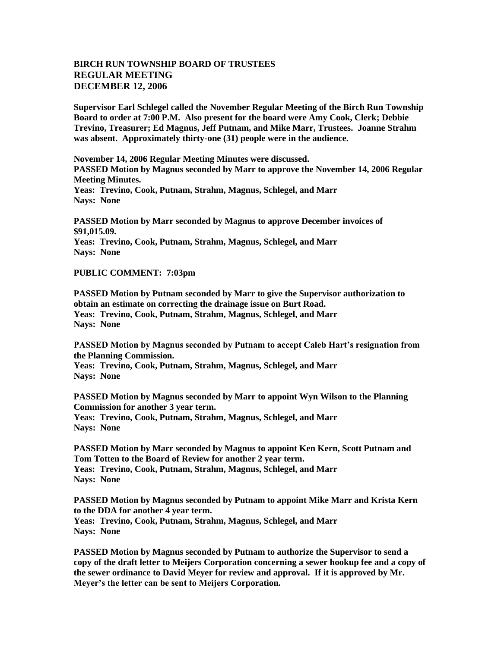## **BIRCH RUN TOWNSHIP BOARD OF TRUSTEES REGULAR MEETING DECEMBER 12, 2006**

**Supervisor Earl Schlegel called the November Regular Meeting of the Birch Run Township Board to order at 7:00 P.M. Also present for the board were Amy Cook, Clerk; Debbie Trevino, Treasurer; Ed Magnus, Jeff Putnam, and Mike Marr, Trustees. Joanne Strahm was absent. Approximately thirty-one (31) people were in the audience.** 

**November 14, 2006 Regular Meeting Minutes were discussed.**

**PASSED Motion by Magnus seconded by Marr to approve the November 14, 2006 Regular Meeting Minutes.**

**Yeas: Trevino, Cook, Putnam, Strahm, Magnus, Schlegel, and Marr Nays: None** 

**PASSED Motion by Marr seconded by Magnus to approve December invoices of \$91,015.09. Yeas: Trevino, Cook, Putnam, Strahm, Magnus, Schlegel, and Marr Nays: None** 

## **PUBLIC COMMENT: 7:03pm**

**PASSED Motion by Putnam seconded by Marr to give the Supervisor authorization to obtain an estimate on correcting the drainage issue on Burt Road. Yeas: Trevino, Cook, Putnam, Strahm, Magnus, Schlegel, and Marr Nays: None**

**PASSED Motion by Magnus seconded by Putnam to accept Caleb Hart's resignation from the Planning Commission.**

**Yeas: Trevino, Cook, Putnam, Strahm, Magnus, Schlegel, and Marr Nays: None**

**PASSED Motion by Magnus seconded by Marr to appoint Wyn Wilson to the Planning Commission for another 3 year term.**

**Yeas: Trevino, Cook, Putnam, Strahm, Magnus, Schlegel, and Marr Nays: None**

**PASSED Motion by Marr seconded by Magnus to appoint Ken Kern, Scott Putnam and Tom Totten to the Board of Review for another 2 year term. Yeas: Trevino, Cook, Putnam, Strahm, Magnus, Schlegel, and Marr Nays: None**

**PASSED Motion by Magnus seconded by Putnam to appoint Mike Marr and Krista Kern to the DDA for another 4 year term. Yeas: Trevino, Cook, Putnam, Strahm, Magnus, Schlegel, and Marr Nays: None**

**PASSED Motion by Magnus seconded by Putnam to authorize the Supervisor to send a copy of the draft letter to Meijers Corporation concerning a sewer hookup fee and a copy of the sewer ordinance to David Meyer for review and approval. If it is approved by Mr. Meyer's the letter can be sent to Meijers Corporation.**